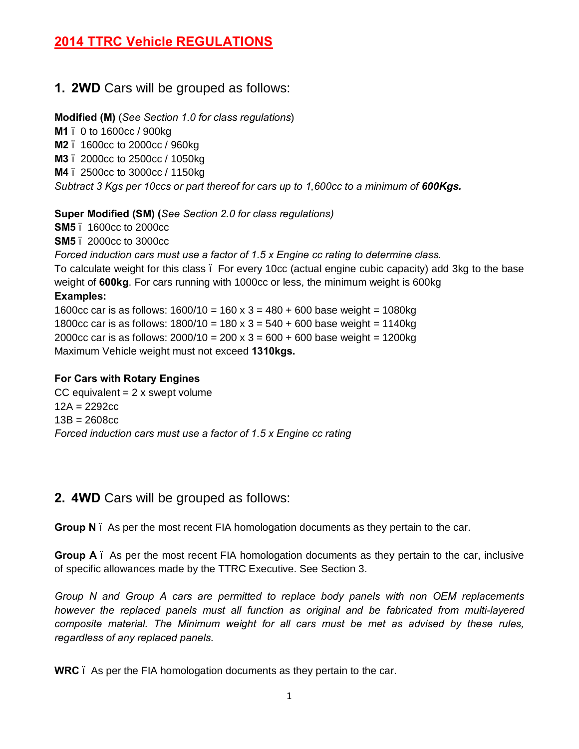## **2014 TTRC Vehicle REGULATIONS**

## **1. 2WD** Cars will be grouped as follows:

#### **Modified (M)** (*See Section 1.0 for class regulations*)

- **M1** 0 to 1600cc / 900kg
- **M2**  1600cc to 2000cc / 960kg
- **M3** 2000cc to 2500cc / 1050kg
- **M4** 2500cc to 3000cc / 1150kg

*Subtract 3 Kgs per 10ccs or part thereof for cars up to 1,600cc to a minimum of 600Kgs.*

#### **Super Modified (SM) (***See Section 2.0 for class regulations)*

- **SM5** 1600cc to 2000cc
- **SM5** 2000cc to 3000cc

*Forced induction cars must use a factor of 1.5 x Engine cc rating to determine class.*

To calculate weight for this class – For every 10cc (actual engine cubic capacity) add 3kg to the base weight of **600kg**. For cars running with 1000cc or less, the minimum weight is 600kg

#### **Examples:**

1600cc car is as follows:  $1600/10 = 160 \times 3 = 480 + 600$  base weight =  $1080$ kg 1800cc car is as follows:  $1800/10 = 180 \times 3 = 540 + 600$  base weight = 1140kg 2000cc car is as follows:  $2000/10 = 200 \times 3 = 600 + 600$  base weight = 1200kg Maximum Vehicle weight must not exceed **1310kgs.**

## **For Cars with Rotary Engines**

CC equivalent  $= 2x$  swept volume  $12A = 2292cc$  $13B = 2608c_0$ *Forced induction cars must use a factor of 1.5 x Engine cc rating*

## **2. 4WD** Cars will be grouped as follows:

**Group N** – As per the most recent FIA homologation documents as they pertain to the car.

**Group A** – As per the most recent FIA homologation documents as they pertain to the car, inclusive of specific allowances made by the TTRC Executive. See Section 3.

*Group N and Group A cars are permitted to replace body panels with non OEM replacements however the replaced panels must all function as original and be fabricated from multi-layered composite material. The Minimum weight for all cars must be met as advised by these rules, regardless of any replaced panels.*

**WRC** – As per the FIA homologation documents as they pertain to the car.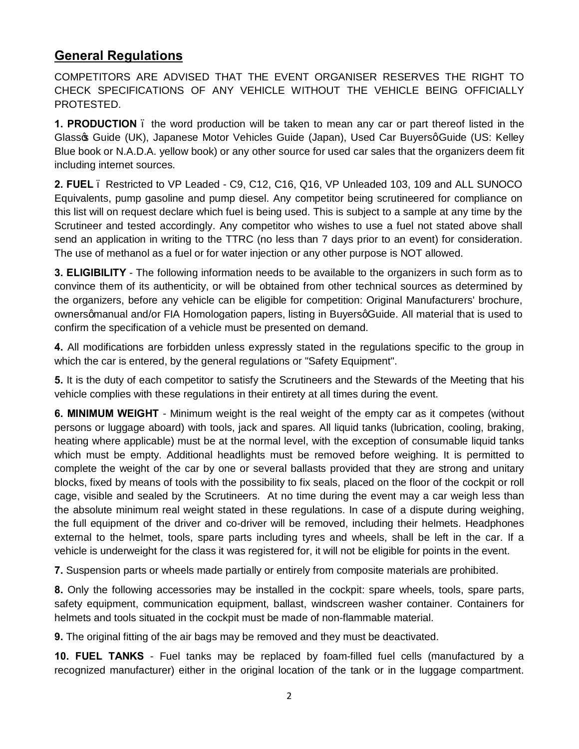## **General Regulations**

COMPETITORS ARE ADVISED THAT THE EVENT ORGANISER RESERVES THE RIGHT TO CHECK SPECIFICATIONS OF ANY VEHICLE WITHOUT THE VEHICLE BEING OFFICIALLY PROTESTED.

**1. PRODUCTION** – the word production will be taken to mean any car or part thereof listed in the Glass & Guide (UK), Japanese Motor Vehicles Guide (Japan), Used Car Buyersq Guide (US: Kelley Blue book or N.A.D.A. yellow book) or any other source for used car sales that the organizers deem fit including internet sources.

**2. FUEL** – Restricted to VP Leaded - C9, C12, C16, Q16, VP Unleaded 103, 109 and ALL SUNOCO Equivalents, pump gasoline and pump diesel. Any competitor being scrutineered for compliance on this list will on request declare which fuel is being used. This is subject to a sample at any time by the Scrutineer and tested accordingly. Any competitor who wishes to use a fuel not stated above shall send an application in writing to the TTRC (no less than 7 days prior to an event) for consideration. The use of methanol as a fuel or for water injection or any other purpose is NOT allowed.

**3. ELIGIBILITY** - The following information needs to be available to the organizers in such form as to convince them of its authenticity, or will be obtained from other technical sources as determined by the organizers, before any vehicle can be eligible for competition: Original Manufacturers' brochure, ownersamanual and/or FIA Homologation papers, listing in Buyersg Guide. All material that is used to confirm the specification of a vehicle must be presented on demand.

**4.** All modifications are forbidden unless expressly stated in the regulations specific to the group in which the car is entered, by the general regulations or "Safety Equipment".

**5.** It is the duty of each competitor to satisfy the Scrutineers and the Stewards of the Meeting that his vehicle complies with these regulations in their entirety at all times during the event.

**6. MINIMUM WEIGHT** - Minimum weight is the real weight of the empty car as it competes (without persons or luggage aboard) with tools, jack and spares. All liquid tanks (lubrication, cooling, braking, heating where applicable) must be at the normal level, with the exception of consumable liquid tanks which must be empty. Additional headlights must be removed before weighing. It is permitted to complete the weight of the car by one or several ballasts provided that they are strong and unitary blocks, fixed by means of tools with the possibility to fix seals, placed on the floor of the cockpit or roll cage, visible and sealed by the Scrutineers. At no time during the event may a car weigh less than the absolute minimum real weight stated in these regulations. In case of a dispute during weighing, the full equipment of the driver and co-driver will be removed, including their helmets. Headphones external to the helmet, tools, spare parts including tyres and wheels, shall be left in the car. If a vehicle is underweight for the class it was registered for, it will not be eligible for points in the event.

**7.** Suspension parts or wheels made partially or entirely from composite materials are prohibited.

**8.** Only the following accessories may be installed in the cockpit: spare wheels, tools, spare parts, safety equipment, communication equipment, ballast, windscreen washer container. Containers for helmets and tools situated in the cockpit must be made of non-flammable material.

**9.** The original fitting of the air bags may be removed and they must be deactivated.

**10. FUEL TANKS** - Fuel tanks may be replaced by foam-filled fuel cells (manufactured by a recognized manufacturer) either in the original location of the tank or in the luggage compartment.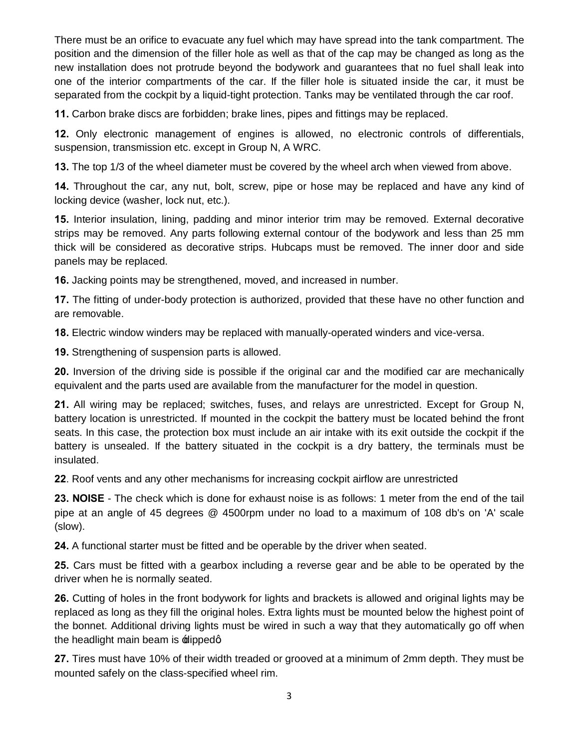There must be an orifice to evacuate any fuel which may have spread into the tank compartment. The position and the dimension of the filler hole as well as that of the cap may be changed as long as the new installation does not protrude beyond the bodywork and guarantees that no fuel shall leak into one of the interior compartments of the car. If the filler hole is situated inside the car, it must be separated from the cockpit by a liquid-tight protection. Tanks may be ventilated through the car roof.

**11.** Carbon brake discs are forbidden; brake lines, pipes and fittings may be replaced.

**12.** Only electronic management of engines is allowed, no electronic controls of differentials, suspension, transmission etc. except in Group N, A WRC.

**13.** The top 1/3 of the wheel diameter must be covered by the wheel arch when viewed from above.

**14.** Throughout the car, any nut, bolt, screw, pipe or hose may be replaced and have any kind of locking device (washer, lock nut, etc.).

**15.** Interior insulation, lining, padding and minor interior trim may be removed. External decorative strips may be removed. Any parts following external contour of the bodywork and less than 25 mm thick will be considered as decorative strips. Hubcaps must be removed. The inner door and side panels may be replaced.

**16.** Jacking points may be strengthened, moved, and increased in number.

**17.** The fitting of under-body protection is authorized, provided that these have no other function and are removable.

**18.** Electric window winders may be replaced with manually-operated winders and vice-versa.

**19.** Strengthening of suspension parts is allowed.

**20.** Inversion of the driving side is possible if the original car and the modified car are mechanically equivalent and the parts used are available from the manufacturer for the model in question.

**21.** All wiring may be replaced; switches, fuses, and relays are unrestricted. Except for Group N, battery location is unrestricted. If mounted in the cockpit the battery must be located behind the front seats. In this case, the protection box must include an air intake with its exit outside the cockpit if the battery is unsealed. If the battery situated in the cockpit is a dry battery, the terminals must be insulated.

**22**. Roof vents and any other mechanisms for increasing cockpit airflow are unrestricted

**23. NOISE** - The check which is done for exhaust noise is as follows: 1 meter from the end of the tail pipe at an angle of 45 degrees @ 4500rpm under no load to a maximum of 108 db's on 'A' scale (slow).

**24.** A functional starter must be fitted and be operable by the driver when seated.

**25.** Cars must be fitted with a gearbox including a reverse gear and be able to be operated by the driver when he is normally seated.

**26.** Cutting of holes in the front bodywork for lights and brackets is allowed and original lights may be replaced as long as they fill the original holes. Extra lights must be mounted below the highest point of the bonnet. Additional driving lights must be wired in such a way that they automatically go off when the headlight main beam is  $\pm$  lippedq

**27.** Tires must have 10% of their width treaded or grooved at a minimum of 2mm depth. They must be mounted safely on the class-specified wheel rim.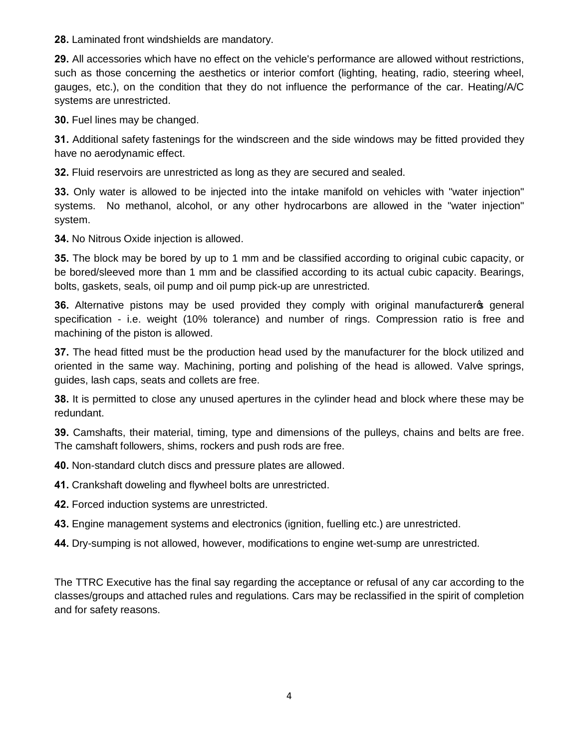**28.** Laminated front windshields are mandatory.

**29.** All accessories which have no effect on the vehicle's performance are allowed without restrictions, such as those concerning the aesthetics or interior comfort (lighting, heating, radio, steering wheel, gauges, etc.), on the condition that they do not influence the performance of the car. Heating/A/C systems are unrestricted.

**30.** Fuel lines may be changed.

**31.** Additional safety fastenings for the windscreen and the side windows may be fitted provided they have no aerodynamic effect.

**32.** Fluid reservoirs are unrestricted as long as they are secured and sealed.

**33.** Only water is allowed to be injected into the intake manifold on vehicles with "water injection" systems. No methanol, alcohol, or any other hydrocarbons are allowed in the "water injection" system.

**34.** No Nitrous Oxide injection is allowed.

**35.** The block may be bored by up to 1 mm and be classified according to original cubic capacity, or be bored/sleeved more than 1 mm and be classified according to its actual cubic capacity. Bearings, bolts, gaskets, seals, oil pump and oil pump pick-up are unrestricted.

**36.** Alternative pistons may be used provided they comply with original manufacturers general specification - i.e. weight (10% tolerance) and number of rings. Compression ratio is free and machining of the piston is allowed.

**37.** The head fitted must be the production head used by the manufacturer for the block utilized and oriented in the same way. Machining, porting and polishing of the head is allowed. Valve springs, guides, lash caps, seats and collets are free.

**38.** It is permitted to close any unused apertures in the cylinder head and block where these may be redundant.

**39.** Camshafts, their material, timing, type and dimensions of the pulleys, chains and belts are free. The camshaft followers, shims, rockers and push rods are free.

**40.** Non-standard clutch discs and pressure plates are allowed.

**41.** Crankshaft doweling and flywheel bolts are unrestricted.

**42.** Forced induction systems are unrestricted.

**43.** Engine management systems and electronics (ignition, fuelling etc.) are unrestricted.

**44.** Dry-sumping is not allowed, however, modifications to engine wet-sump are unrestricted.

The TTRC Executive has the final say regarding the acceptance or refusal of any car according to the classes/groups and attached rules and regulations. Cars may be reclassified in the spirit of completion and for safety reasons.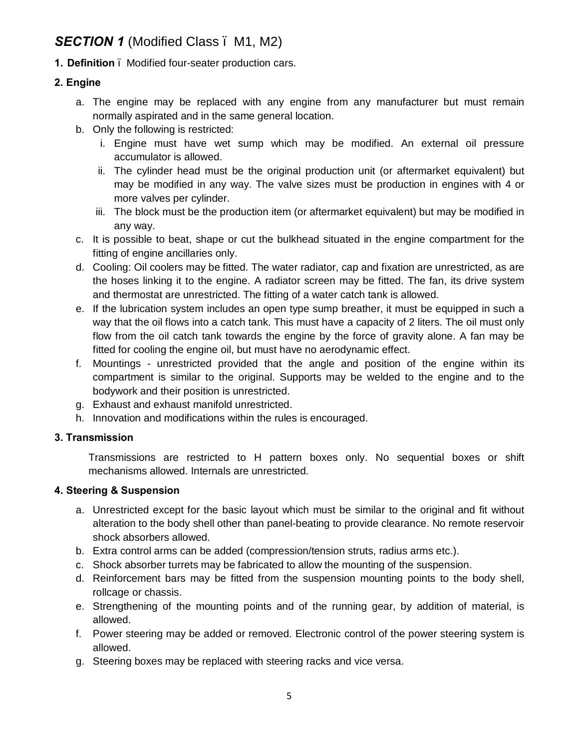# **SECTION 1** (Modified Class . M1, M2)

**1. Definition** – Modified four-seater production cars.

## **2. Engine**

- a. The engine may be replaced with any engine from any manufacturer but must remain normally aspirated and in the same general location.
- b. Only the following is restricted:
	- i. Engine must have wet sump which may be modified. An external oil pressure accumulator is allowed.
	- ii. The cylinder head must be the original production unit (or aftermarket equivalent) but may be modified in any way. The valve sizes must be production in engines with 4 or more valves per cylinder.
	- iii. The block must be the production item (or aftermarket equivalent) but may be modified in any way.
- c. It is possible to beat, shape or cut the bulkhead situated in the engine compartment for the fitting of engine ancillaries only.
- d. Cooling: Oil coolers may be fitted. The water radiator, cap and fixation are unrestricted, as are the hoses linking it to the engine. A radiator screen may be fitted. The fan, its drive system and thermostat are unrestricted. The fitting of a water catch tank is allowed.
- e. If the lubrication system includes an open type sump breather, it must be equipped in such a way that the oil flows into a catch tank. This must have a capacity of 2 liters. The oil must only flow from the oil catch tank towards the engine by the force of gravity alone. A fan may be fitted for cooling the engine oil, but must have no aerodynamic effect.
- f. Mountings unrestricted provided that the angle and position of the engine within its compartment is similar to the original. Supports may be welded to the engine and to the bodywork and their position is unrestricted.
- g. Exhaust and exhaust manifold unrestricted.
- h. Innovation and modifications within the rules is encouraged.

#### **3. Transmission**

Transmissions are restricted to H pattern boxes only. No sequential boxes or shift mechanisms allowed. Internals are unrestricted.

#### **4. Steering & Suspension**

- a. Unrestricted except for the basic layout which must be similar to the original and fit without alteration to the body shell other than panel-beating to provide clearance. No remote reservoir shock absorbers allowed.
- b. Extra control arms can be added (compression/tension struts, radius arms etc.).
- c. Shock absorber turrets may be fabricated to allow the mounting of the suspension.
- d. Reinforcement bars may be fitted from the suspension mounting points to the body shell, rollcage or chassis.
- e. Strengthening of the mounting points and of the running gear, by addition of material, is allowed.
- f. Power steering may be added or removed. Electronic control of the power steering system is allowed.
- g. Steering boxes may be replaced with steering racks and vice versa.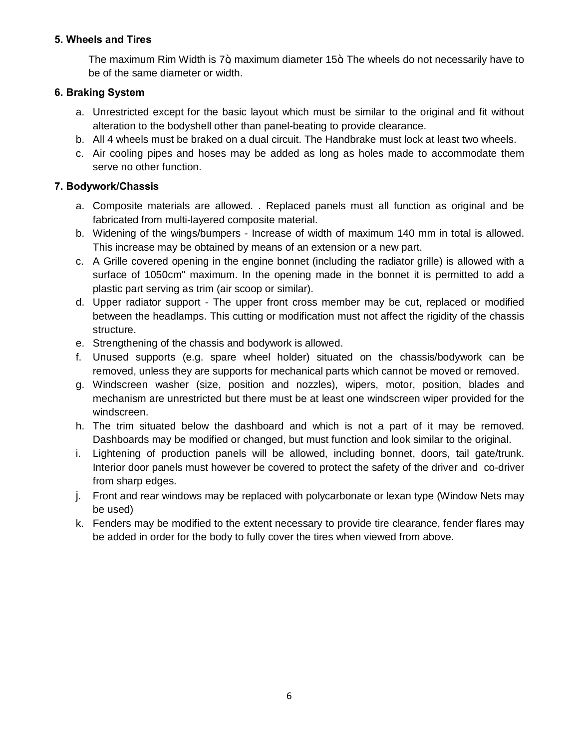### **5. Wheels and Tires**

The maximum Rim Width is  $7+$  maximum diameter 15 $+$  The wheels do not necessarily have to be of the same diameter or width.

## **6. Braking System**

- a. Unrestricted except for the basic layout which must be similar to the original and fit without alteration to the bodyshell other than panel-beating to provide clearance.
- b. All 4 wheels must be braked on a dual circuit. The Handbrake must lock at least two wheels.
- c. Air cooling pipes and hoses may be added as long as holes made to accommodate them serve no other function.

## **7. Bodywork/Chassis**

- a. Composite materials are allowed. . Replaced panels must all function as original and be fabricated from multi-layered composite material.
- b. Widening of the wings/bumpers Increase of width of maximum 140 mm in total is allowed. This increase may be obtained by means of an extension or a new part.
- c. A Grille covered opening in the engine bonnet (including the radiator grille) is allowed with a surface of 1050cm" maximum. In the opening made in the bonnet it is permitted to add a plastic part serving as trim (air scoop or similar).
- d. Upper radiator support The upper front cross member may be cut, replaced or modified between the headlamps. This cutting or modification must not affect the rigidity of the chassis structure.
- e. Strengthening of the chassis and bodywork is allowed.
- f. Unused supports (e.g. spare wheel holder) situated on the chassis/bodywork can be removed, unless they are supports for mechanical parts which cannot be moved or removed.
- g. Windscreen washer (size, position and nozzles), wipers, motor, position, blades and mechanism are unrestricted but there must be at least one windscreen wiper provided for the windscreen.
- h. The trim situated below the dashboard and which is not a part of it may be removed. Dashboards may be modified or changed, but must function and look similar to the original.
- i. Lightening of production panels will be allowed, including bonnet, doors, tail gate/trunk. Interior door panels must however be covered to protect the safety of the driver and co-driver from sharp edges.
- j. Front and rear windows may be replaced with polycarbonate or lexan type (Window Nets may be used)
- k. Fenders may be modified to the extent necessary to provide tire clearance, fender flares may be added in order for the body to fully cover the tires when viewed from above.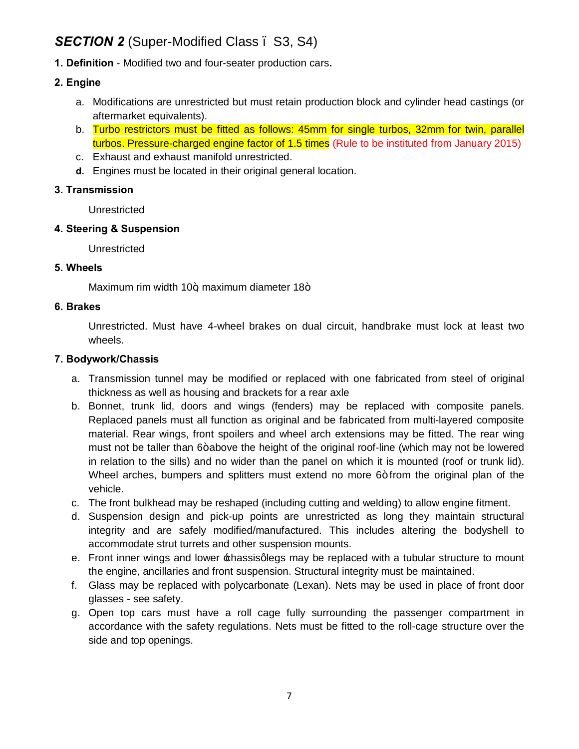# **SECTION 2** (Super-Modified Class . S3, S4)

**1. Definition** - Modified two and four-seater production cars**.**

### **2. Engine**

- a. Modifications are unrestricted but must retain production block and cylinder head castings (or aftermarket equivalents).
- b. Turbo restrictors must be fitted as follows: 45mm for single turbos, 32mm for twin, parallel turbos. Pressure-charged engine factor of 1.5 times (Rule to be instituted from January 2015)
- c. Exhaust and exhaust manifold unrestricted.
- **d.** Engines must be located in their original general location.

#### **3. Transmission**

Unrestricted

## **4. Steering & Suspension**

Unrestricted

### **5. Wheels**

Maximum rim width  $10+$  maximum diameter  $18+$ 

### **6. Brakes**

Unrestricted. Must have 4-wheel brakes on dual circuit, handbrake must lock at least two wheels.

### **7. Bodywork/Chassis**

- a. Transmission tunnel may be modified or replaced with one fabricated from steel of original thickness as well as housing and brackets for a rear axle
- b. Bonnet, trunk lid, doors and wings (fenders) may be replaced with composite panels. Replaced panels must all function as original and be fabricated from multi-layered composite material. Rear wings, front spoilers and wheel arch extensions may be fitted. The rear wing must not be taller than 6+ above the height of the original roof-line (which may not be lowered in relation to the sills) and no wider than the panel on which it is mounted (roof or trunk lid). Wheel arches, bumpers and splitters must extend no more  $6+$  from the original plan of the vehicle.
- c. The front bulkhead may be reshaped (including cutting and welding) to allow engine fitment.
- d. Suspension design and pick-up points are unrestricted as long they maintain structural integrity and are safely modified/manufactured. This includes altering the bodyshell to accommodate strut turrets and other suspension mounts.
- e. Front inner wings and lower  $\pm$ hassisglegs may be replaced with a tubular structure to mount the engine, ancillaries and front suspension. Structural integrity must be maintained.
- f. Glass may be replaced with polycarbonate (Lexan). Nets may be used in place of front door glasses - see safety.
- g. Open top cars must have a roll cage fully surrounding the passenger compartment in accordance with the safety regulations. Nets must be fitted to the roll-cage structure over the side and top openings.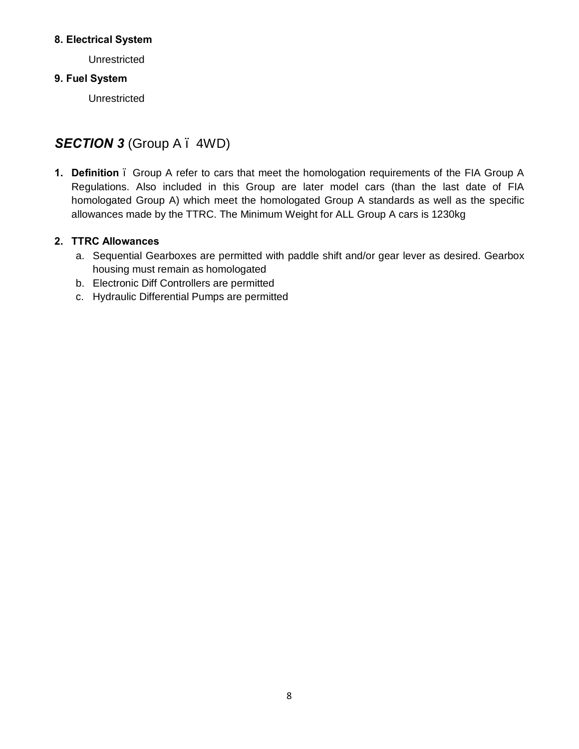#### **8. Electrical System**

**Unrestricted** 

## **9. Fuel System**

Unrestricted

# **SECTION 3** (Group A – 4WD)

**1. Definition** – Group A refer to cars that meet the homologation requirements of the FIA Group A Regulations. Also included in this Group are later model cars (than the last date of FIA homologated Group A) which meet the homologated Group A standards as well as the specific allowances made by the TTRC. The Minimum Weight for ALL Group A cars is 1230kg

## **2. TTRC Allowances**

- a. Sequential Gearboxes are permitted with paddle shift and/or gear lever as desired. Gearbox housing must remain as homologated
- b. Electronic Diff Controllers are permitted
- c. Hydraulic Differential Pumps are permitted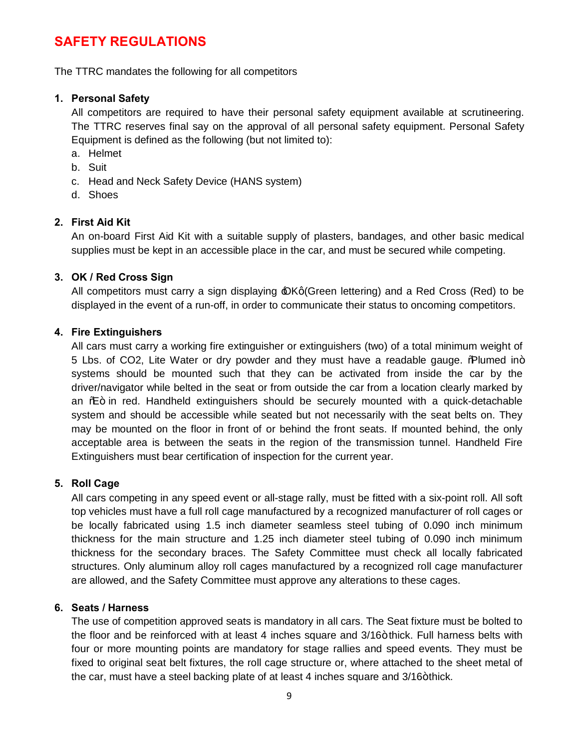## **SAFETY REGULATIONS**

The TTRC mandates the following for all competitors

### **1. Personal Safety**

All competitors are required to have their personal safety equipment available at scrutineering. The TTRC reserves final say on the approval of all personal safety equipment. Personal Safety Equipment is defined as the following (but not limited to):

- a. Helmet
- b. Suit
- c. Head and Neck Safety Device (HANS system)
- d. Shoes

### **2. First Aid Kit**

An on-board First Aid Kit with a suitable supply of plasters, bandages, and other basic medical supplies must be kept in an accessible place in the car, and must be secured while competing.

### **3. OK / Red Cross Sign**

All competitors must carry a sign displaying  $\triangle$ Kg(Green lettering) and a Red Cross (Red) to be displayed in the event of a run-off, in order to communicate their status to oncoming competitors.

### **4. Fire Extinguishers**

All cars must carry a working fire extinguisher or extinguishers (two) of a total minimum weight of 5 Lbs. of CO2, Lite Water or dry powder and they must have a readable gauge.  $\Re$ lumed in+ systems should be mounted such that they can be activated from inside the car by the driver/navigator while belted in the seat or from outside the car from a location clearly marked by an  $% +$  in red. Handheld extinguishers should be securely mounted with a quick-detachable system and should be accessible while seated but not necessarily with the seat belts on. They may be mounted on the floor in front of or behind the front seats. If mounted behind, the only acceptable area is between the seats in the region of the transmission tunnel. Handheld Fire Extinguishers must bear certification of inspection for the current year.

## **5. Roll Cage**

All cars competing in any speed event or all-stage rally, must be fitted with a six-point roll. All soft top vehicles must have a full roll cage manufactured by a recognized manufacturer of roll cages or be locally fabricated using 1.5 inch diameter seamless steel tubing of 0.090 inch minimum thickness for the main structure and 1.25 inch diameter steel tubing of 0.090 inch minimum thickness for the secondary braces. The Safety Committee must check all locally fabricated structures. Only aluminum alloy roll cages manufactured by a recognized roll cage manufacturer are allowed, and the Safety Committee must approve any alterations to these cages.

## **6. Seats / Harness**

The use of competition approved seats is mandatory in all cars. The Seat fixture must be bolted to the floor and be reinforced with at least 4 inches square and  $3/16$ +thick. Full harness belts with four or more mounting points are mandatory for stage rallies and speed events. They must be fixed to original seat belt fixtures, the roll cage structure or, where attached to the sheet metal of the car, must have a steel backing plate of at least  $4$  inches square and  $3/16$ +thick.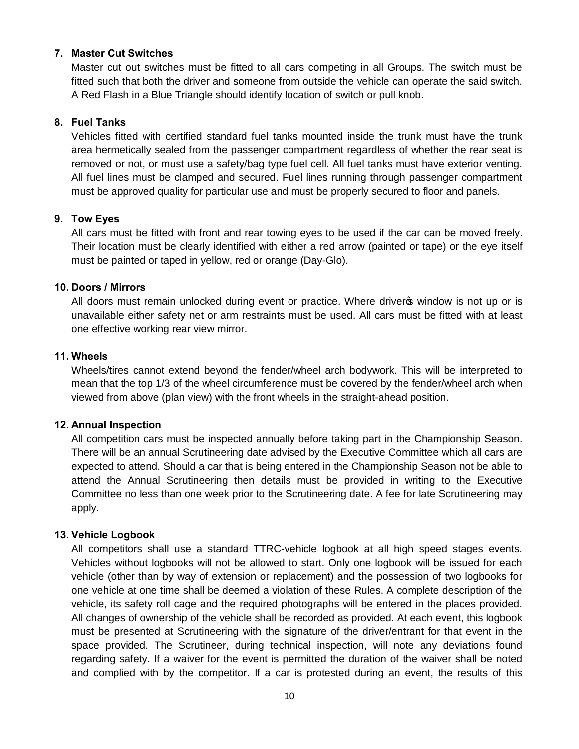#### **7. Master Cut Switches**

Master cut out switches must be fitted to all cars competing in all Groups. The switch must be fitted such that both the driver and someone from outside the vehicle can operate the said switch. A Red Flash in a Blue Triangle should identify location of switch or pull knob.

#### **8. Fuel Tanks**

Vehicles fitted with certified standard fuel tanks mounted inside the trunk must have the trunk area hermetically sealed from the passenger compartment regardless of whether the rear seat is removed or not, or must use a safety/bag type fuel cell. All fuel tanks must have exterior venting. All fuel lines must be clamped and secured. Fuel lines running through passenger compartment must be approved quality for particular use and must be properly secured to floor and panels.

#### **9. Tow Eyes**

All cars must be fitted with front and rear towing eyes to be used if the car can be moved freely. Their location must be clearly identified with either a red arrow (painted or tape) or the eye itself must be painted or taped in yellow, red or orange (Day-Glo).

#### **10. Doors / Mirrors**

All doors must remain unlocked during event or practice. Where driver is window is not up or is unavailable either safety net or arm restraints must be used. All cars must be fitted with at least one effective working rear view mirror.

#### **11. Wheels**

Wheels/tires cannot extend beyond the fender/wheel arch bodywork. This will be interpreted to mean that the top 1/3 of the wheel circumference must be covered by the fender/wheel arch when viewed from above (plan view) with the front wheels in the straight-ahead position.

#### **12. Annual Inspection**

All competition cars must be inspected annually before taking part in the Championship Season. There will be an annual Scrutineering date advised by the Executive Committee which all cars are expected to attend. Should a car that is being entered in the Championship Season not be able to attend the Annual Scrutineering then details must be provided in writing to the Executive Committee no less than one week prior to the Scrutineering date. A fee for late Scrutineering may apply.

#### **13. Vehicle Logbook**

All competitors shall use a standard TTRC-vehicle logbook at all high speed stages events. Vehicles without logbooks will not be allowed to start. Only one logbook will be issued for each vehicle (other than by way of extension or replacement) and the possession of two logbooks for one vehicle at one time shall be deemed a violation of these Rules. A complete description of the vehicle, its safety roll cage and the required photographs will be entered in the places provided. All changes of ownership of the vehicle shall be recorded as provided. At each event, this logbook must be presented at Scrutineering with the signature of the driver/entrant for that event in the space provided. The Scrutineer, during technical inspection, will note any deviations found regarding safety. If a waiver for the event is permitted the duration of the waiver shall be noted and complied with by the competitor. If a car is protested during an event, the results of this